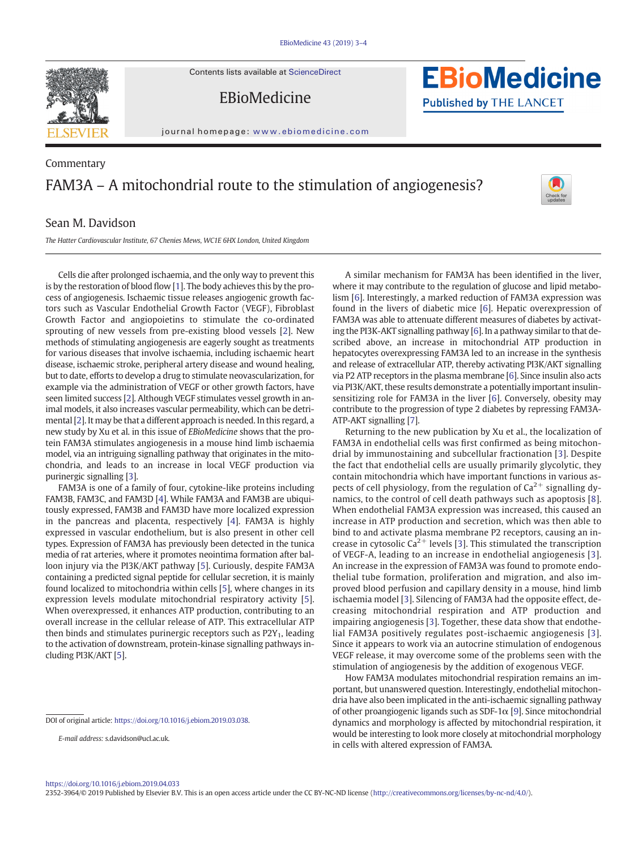Contents lists available at [ScienceDirect](http://www.sciencedirect.com/science/journal/)

EBioMedicine



journal homepage: <www.ebiomedicine.com>

# Commentary FAM3A – A mitochondrial route to the stimulation of angiogenesis?



**EBioMedicine** 

**Published by THE LANCET** 

## Sean M. Davidson

The Hatter Cardiovascular Institute, 67 Chenies Mews, WC1E 6HX London, United Kingdom

Cells die after prolonged ischaemia, and the only way to prevent this is by the restoration of blood flow [[1](#page-1-0)]. The body achieves this by the process of angiogenesis. Ischaemic tissue releases angiogenic growth factors such as Vascular Endothelial Growth Factor (VEGF), Fibroblast Growth Factor and angiopoietins to stimulate the co-ordinated sprouting of new vessels from pre-existing blood vessels [\[2\]](#page-1-0). New methods of stimulating angiogenesis are eagerly sought as treatments for various diseases that involve ischaemia, including ischaemic heart disease, ischaemic stroke, peripheral artery disease and wound healing, but to date, efforts to develop a drug to stimulate neovascularization, for example via the administration of VEGF or other growth factors, have seen limited success [\[2\]](#page-1-0). Although VEGF stimulates vessel growth in animal models, it also increases vascular permeability, which can be detrimental [[2](#page-1-0)]. It may be that a different approach is needed. In this regard, a new study by Xu et al. in this issue of EBioMedicine shows that the protein FAM3A stimulates angiogenesis in a mouse hind limb ischaemia model, via an intriguing signalling pathway that originates in the mitochondria, and leads to an increase in local VEGF production via purinergic signalling [\[3](#page-1-0)].

FAM3A is one of a family of four, cytokine-like proteins including FAM3B, FAM3C, and FAM3D [\[4\]](#page-1-0). While FAM3A and FAM3B are ubiquitously expressed, FAM3B and FAM3D have more localized expression in the pancreas and placenta, respectively [\[4\]](#page-1-0). FAM3A is highly expressed in vascular endothelium, but is also present in other cell types. Expression of FAM3A has previously been detected in the tunica media of rat arteries, where it promotes neointima formation after balloon injury via the PI3K/AKT pathway [\[5\]](#page-1-0). Curiously, despite FAM3A containing a predicted signal peptide for cellular secretion, it is mainly found localized to mitochondria within cells [[5](#page-1-0)], where changes in its expression levels modulate mitochondrial respiratory activity [\[5\]](#page-1-0). When overexpressed, it enhances ATP production, contributing to an overall increase in the cellular release of ATP. This extracellular ATP then binds and stimulates purinergic receptors such as  $P2Y_1$ , leading to the activation of downstream, protein-kinase signalling pathways including PI3K/AKT [\[5\]](#page-1-0).

DOI of original article: https://doi.org[/10.1016/j.ebiom.2019.03.038.](https://doi.org/10.1016/j.ebiom.2019.03.038)

E-mail address: s.davidson@ucl.ac.uk.

A similar mechanism for FAM3A has been identified in the liver, where it may contribute to the regulation of glucose and lipid metabolism [\[6\]](#page-1-0). Interestingly, a marked reduction of FAM3A expression was found in the livers of diabetic mice [\[6\]](#page-1-0). Hepatic overexpression of FAM3A was able to attenuate different measures of diabetes by activating the PI3K-AKT signalling pathway [\[6\]](#page-1-0). In a pathway similar to that described above, an increase in mitochondrial ATP production in hepatocytes overexpressing FAM3A led to an increase in the synthesis and release of extracellular ATP, thereby activating PI3K/AKT signalling via P2 ATP receptors in the plasma membrane [\[6\]](#page-1-0). Since insulin also acts via PI3K/AKT, these results demonstrate a potentially important insulinsensitizing role for FAM3A in the liver [\[6\]](#page-1-0). Conversely, obesity may contribute to the progression of type 2 diabetes by repressing FAM3A-ATP-AKT signalling [\[7](#page-1-0)].

Returning to the new publication by Xu et al., the localization of FAM3A in endothelial cells was first confirmed as being mitochondrial by immunostaining and subcellular fractionation [[3\]](#page-1-0). Despite the fact that endothelial cells are usually primarily glycolytic, they contain mitochondria which have important functions in various aspects of cell physiology, from the regulation of  $Ca^{2+}$  signalling dynamics, to the control of cell death pathways such as apoptosis [[8\]](#page-1-0). When endothelial FAM3A expression was increased, this caused an increase in ATP production and secretion, which was then able to bind to and activate plasma membrane P2 receptors, causing an increase in cytosolic  $Ca^{2+}$  levels [[3](#page-1-0)]. This stimulated the transcription of VEGF-A, leading to an increase in endothelial angiogenesis [[3\]](#page-1-0). An increase in the expression of FAM3A was found to promote endothelial tube formation, proliferation and migration, and also improved blood perfusion and capillary density in a mouse, hind limb ischaemia model [\[3\]](#page-1-0). Silencing of FAM3A had the opposite effect, decreasing mitochondrial respiration and ATP production and impairing angiogenesis [[3\]](#page-1-0). Together, these data show that endothelial FAM3A positively regulates post-ischaemic angiogenesis [[3\]](#page-1-0). Since it appears to work via an autocrine stimulation of endogenous VEGF release, it may overcome some of the problems seen with the stimulation of angiogenesis by the addition of exogenous VEGF.

How FAM3A modulates mitochondrial respiration remains an important, but unanswered question. Interestingly, endothelial mitochondria have also been implicated in the anti-ischaemic signalling pathway of other proangiogenic ligands such as SDF-1 $\alpha$  [[9](#page-1-0)]. Since mitochondrial dynamics and morphology is affected by mitochondrial respiration, it would be interesting to look more closely at mitochondrial morphology in cells with altered expression of FAM3A.

<https://doi.org/10.1016/j.ebiom.2019.04.033>

2352-3964/© 2019 Published by Elsevier B.V. This is an open access article under the CC BY-NC-ND license [\(http://creativecommons.org/licenses/by-nc-nd/4.0/](http://creativecommons.org/licenses/by-nc-nd/4.0/)).